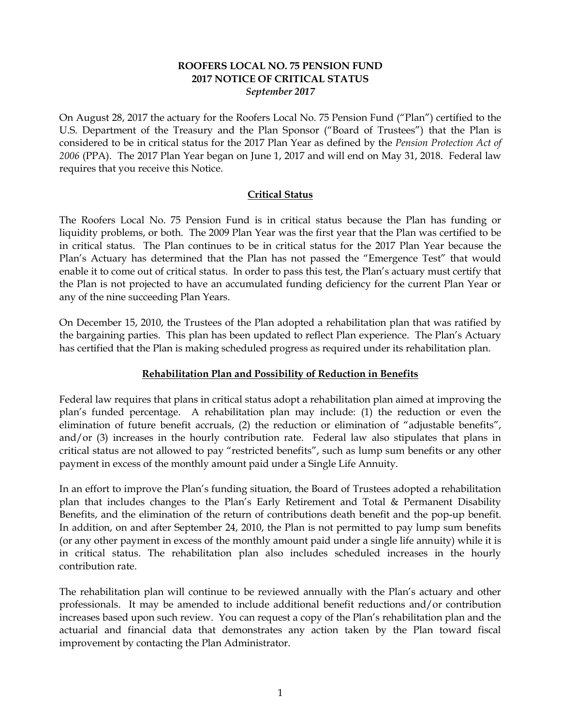#### **ROOFERS LOCAL NO. 75 PENSION FUND 2017 NOTICE OF CRITICAL STATUS** *September 2017*

On August 28, 2017 the actuary for the Roofers Local No. 75 Pension Fund ("Plan") certified to the U.S. Department of the Treasury and the Plan Sponsor ("Board of Trustees") that the Plan is considered to be in critical status for the 2017 Plan Year as defined by the *Pension Protection Act of 2006* (PPA). The 2017 Plan Year began on June 1, 2017 and will end on May 31, 2018. Federal law requires that you receive this Notice.

# **Critical Status**

The Roofers Local No. 75 Pension Fund is in critical status because the Plan has funding or liquidity problems, or both. The 2009 Plan Year was the first year that the Plan was certified to be in critical status. The Plan continues to be in critical status for the 2017 Plan Year because the Plan's Actuary has determined that the Plan has not passed the "Emergence Test" that would enable it to come out of critical status. In order to pass this test, the Plan's actuary must certify that the Plan is not projected to have an accumulated funding deficiency for the current Plan Year or any of the nine succeeding Plan Years.

On December 15, 2010, the Trustees of the Plan adopted a rehabilitation plan that was ratified by the bargaining parties. This plan has been updated to reflect Plan experience. The Plan's Actuary has certified that the Plan is making scheduled progress as required under its rehabilitation plan.

# **Rehabilitation Plan and Possibility of Reduction in Benefits**

Federal law requires that plans in critical status adopt a rehabilitation plan aimed at improving the plan's funded percentage. A rehabilitation plan may include: (1) the reduction or even the elimination of future benefit accruals, (2) the reduction or elimination of "adjustable benefits", and/or (3) increases in the hourly contribution rate. Federal law also stipulates that plans in critical status are not allowed to pay "restricted benefits", such as lump sum benefits or any other payment in excess of the monthly amount paid under a Single Life Annuity.

In an effort to improve the Plan's funding situation, the Board of Trustees adopted a rehabilitation plan that includes changes to the Plan's Early Retirement and Total & Permanent Disability Benefits, and the elimination of the return of contributions death benefit and the pop-up benefit. In addition, on and after September 24, 2010, the Plan is not permitted to pay lump sum benefits (or any other payment in excess of the monthly amount paid under a single life annuity) while it is in critical status. The rehabilitation plan also includes scheduled increases in the hourly contribution rate.

The rehabilitation plan will continue to be reviewed annually with the Plan's actuary and other professionals. It may be amended to include additional benefit reductions and/or contribution increases based upon such review. You can request a copy of the Plan's rehabilitation plan and the actuarial and financial data that demonstrates any action taken by the Plan toward fiscal improvement by contacting the Plan Administrator.